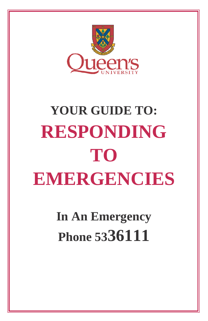

# **YOUR GUIDE TO: RESPONDING TO EMERGENCIES**

**In An Emergency Phone 5336111**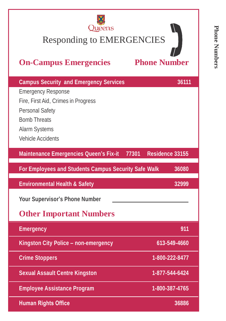

## **On-Campus Emergencies Phone Number**

| <b>Campus Security and Emergency Services</b>        | 36111                    |
|------------------------------------------------------|--------------------------|
| <b>Emergency Response</b>                            |                          |
| Fire, First Aid, Crimes in Progress                  |                          |
| <b>Personal Safety</b>                               |                          |
| <b>Bomb Threats</b>                                  |                          |
| <b>Alarm Systems</b>                                 |                          |
| <b>Vehicle Accidents</b>                             |                          |
| <b>Maintenance Emergencies Queen's Fix-it</b>        | Residence 33155<br>77301 |
| For Employees and Students Campus Security Safe Walk | 36080                    |
| <b>Environmental Health &amp; Safety</b>             | 32999                    |
| <b>Your Supervisor's Phone Number</b>                |                          |
| <b>Other Important Numbers</b>                       |                          |
| <b>Emergency</b>                                     | 911                      |
| Kingston City Police - non-emergency                 | 613-549-4660             |
| <b>Crime Stoppers</b>                                | 1-800-222-8477           |
| <b>Sexual Assault Centre Kingston</b>                | 1-877-544-6424           |
| <b>Employee Assistance Program</b>                   | 1-800-387-4765           |
| <b>Human Rights Office</b>                           | 36886                    |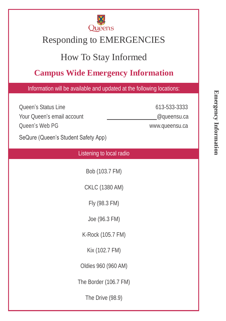

### How To Stay Informed

**Campus Wide Emergency Information**

Information will be available and updated at the following locations:

Queen's Status Line 613-533-3333 Your Queen's email account **and Contact Contact Contact Contact Contact Contact Contact Contact Contact Contact Contact Contact Contact Contact Contact Contact Contact Contact Contact Contact Contact Contact Contact Contac** Queen's [Web PG](mailto:@queensu.ca) **[www.queensu.ca](http://www.queensu.ca/)** 

SeQure (Queen's Student Safety App)

| Listening to local radio |  |  |
|--------------------------|--|--|
|                          |  |  |

Bob (103.7 FM)

CKLC (1380 AM)

Fly (98.3 FM)

Joe (96.3 FM)

K-Rock (105.7 FM)

Kix (102.7 FM)

Oldies 960 (960 AM)

The Border (106.7 FM)

The Drive (98.9)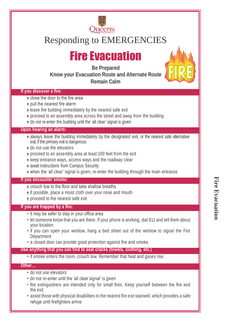

## Fire Evacuation

**Be Prepared**

**Know your Evacuation Route and Alternate Route Remain Calm**

#### **If you discover a fire:**

- **•** close the door to the fire area
- **•** pull the nearest fire alarm
- **•** leave the building immediately by the nearest safe exit
- **•** proceed to an assembly area across the street and away from the building
- **•** do not re-enter the building until the 'all clear' signal is given

#### **Upon hearing an alarm:**

- **•** always leave the building immediately by the designated exit, or the nearest safe alternative exit, if the primary exit is dangerous
- **•** do not use the elevators
- **•** proceed to an assembly area at least 100 feet from the exit
- **•** keep entrance ways, access ways and the roadway clear
- **•** await instructions from Campus Security
- **•** when the 'all clear' signal is given, re-enter the building through the main entrance

#### **If you encounter smoke:**

- **•** crouch low to the floor and take shallow breaths
- **•** if possible, place a moist cloth over your nose and mouth
- **•** proceed to the nearest safe exit

#### **If you are trapped by a fire:**

- it may be safer to stay in your office area
- let someone know that you are there. If your phone is working, dial 911 and tell them about your location.
- if you can open your window, hang a bed sheet out of the window to signal the Fire **Department**
- a closed door can provide good protection against fire and smoke.

#### **Use anything that you can find to seal cracks (towels, clothing, etc.)**

• if smoke enters the room, crouch low. Remember that heat and gases rise.

#### **Other…**

- do not use elevators
- do not re-enter until the 'all clear signal' is given
- fire extinguishers are intended only for small fires. Keep yourself between the fire and the exit.
- assist those with physical disabilities to the nearest fire exit stairwell, which provides a safe refuge until firefighters arrive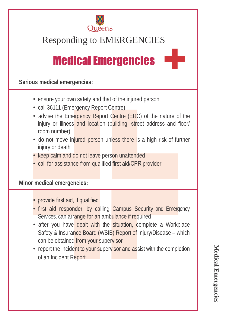

## Medical Emergencies

**Serious medical emergencies:**

- ensure your own safety and that of the injured person
- call 36111 (Emergency Report Centre)
- advise the Emergency Report Centre (ERC) of the nature of the injury or illness and location (building, street address and floor/ room number)
- do not move injured person unless there is a high risk of further injury or death
- keep calm and do not leave person unattended
- call for assistance from qualified first aid/CPR provider

### **Minor medical emergencies:**

- provide first aid, if qualified
- first aid responder, by calling Campus Security and Emergency Services, can arrange for an ambulance if required
- after you have dealt with the situation, complete a Workplace Safety & Insurance Board (WSIB) Report of Injury/Disease – which can be obtained from your supervisor
- report the incident to your supervisor and assist with the completion of an Incident Report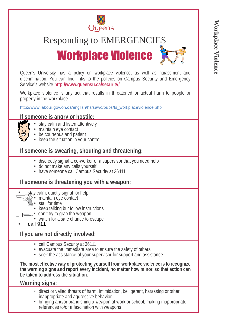





Queen's University has a policy on workplace violence, as well as harassment and discrimination. You can find links to the policies on Campus Security and Emergency Service's website **<http://www.queensu.ca/security/>**

Workplace violence is any act that results in threatened or actual harm to people or property in the workplace.

http://www.labour.gov.on.ca/english/hs/sawo/pubs/fs\_workplaceviolence.php

### **If someone is angry or hostile:**



- stay calm and listen attentively
- maintain eye contact
- be courteous and patient
- keep the situation in your control

### **If someone is swearing, shouting and threatening:**

- discreetly signal a co-worker or a supervisor that you need help
- do not make any calls yourself
- have someone call Campus Security at 36111

### **If someone is threatening you with a weapon:**

- **•** stay calm, quietly signal for help
	- maintain eye contact
		- stall for time
		- keep talking but follow instructions
	- **b don't try to grab the weapon** 
		- watch for a safe chance to escape
- **•** call 911

### **If you are not directly involved:**

- call Campus Security at 36111
- evacuate the immediate area to ensure the safety of others
- seek the assistance of your supervisor for support and assistance

**The most effective way of protecting yourself from workplace violence is to recognize the warning signs and report every incident, no matter how minor, so that action can be taken to address the situation.**

### **Warning signs:**

- direct or veiled threats of harm, intimidation, belligerent, harassing or other inappropriate and aggressive behavior
- bringing and/or brandishing a weapon at work or school, making inappropriate references to/or a fascination with weapons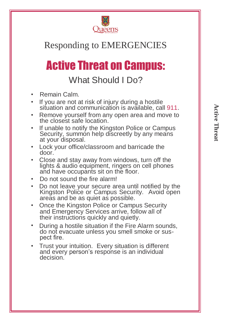

## Active Threat on Campus:

### What Should I Do?

- Remain Cal m .
- If you are not at risk of injury during a hostile situation and communication is available, call 91 1 .
- Remove yourself from any open area and move to the closest safe location.
- If unable to notify the Kingston Police or Campus Security, summon help discreetly by any means at your disposal.
- Lock your office/classroom and barricade the door.
- Close and stay away from windows, turn off the lights & audio equipment, ringers on cell phones and have occupants sit on the floor.
- Do not sound the fire alarm!
- Do not leave your secure area until notified by the Kingston Police or Campus Security. Avoid open areas and be as quiet as possible.
- Once the Kingston Police or Campus Security and Emergency Services arrive, follow all of their instructions quickly and quietly.
- During a hostile situation if the Fire Alarm sounds, do not evacuate unless you smell smoke or sus pect fire.
- Trust your intuition. Every situation is different and every person's response is an individual de cision.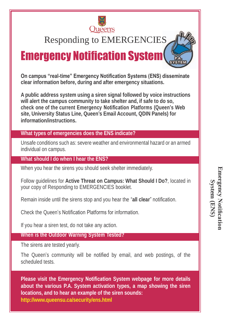

## Emergency Notification System

**On campus "real-time" Emergency Notification Systems (ENS) disseminate clear information before, during and after emergency situations.**

**A public address system using a siren signal followed by voice instructions will alert the campus community to take shelter and, if safe to do so, check one of the current Emergency Notification Platforms (Queen's Web site, University Status Line, Queen's Email Account, QDIN Panels) for information/instructions.**

#### **What types of emergencies does the ENS indicate?**

Unsafe conditions such as: severe weather and environmental hazard or an armed individual on campus.

#### **What should I do when I hear the ENS?**

When you hear the sirens you should seek shelter immediately.

Follow guidelines for **Active Threat on Campus: What Should I Do?**, located in your copy of Responding to EMERGENCIES booklet.

Remain inside until the sirens stop and you hear the "**all clear**" notification.

Check the Queen's Notification Platforms for information.

If you hear a siren test, do not take any action.

### **When is the Outdoor Warning System Tested?**

The sirens are tested yearly.

The Queen's community will be notified by email, and web postings, of the scheduled tests.

**Please visit the Emergency Notification System webpage for more details about the various P.A. System activation types, a map showing the siren locations, and to hear an example of the siren sounds: <http://www.queensu.ca/security/ens.html>**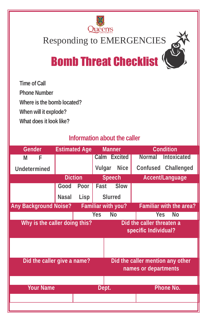

Bomb Threat Checklist

**Time of Call**

**Phone Number**

**Where is the bomb located?** 

**When will it explode?**

**What does it look like?**

### **Information about the caller**

| <b>Gender</b>                                                                      |                | <b>Estimated Age</b>      | <b>Manner</b> |                                                          |                                | <b>Condition</b>           |
|------------------------------------------------------------------------------------|----------------|---------------------------|---------------|----------------------------------------------------------|--------------------------------|----------------------------|
| M<br>F                                                                             |                |                           |               | <b>Calm Excited</b>                                      |                                | Normal Intoxicated         |
| <b>Undetermined</b>                                                                |                |                           | Vulgar        | <b>Nice</b>                                              |                                | <b>Confused Challenged</b> |
|                                                                                    | <b>Diction</b> |                           | <b>Speech</b> |                                                          | <b>Accent/Language</b>         |                            |
|                                                                                    | Good           | Poor                      | Fast          | <b>Slow</b>                                              |                                |                            |
|                                                                                    | <b>Nasal</b>   | Lisp                      |               | <b>Slurred</b>                                           |                                |                            |
| <b>Any Background Noise?</b>                                                       |                | <b>Familiar with you?</b> |               |                                                          | <b>Familiar with the area?</b> |                            |
|                                                                                    |                | <b>Yes</b><br><b>No</b>   |               |                                                          | <b>Yes</b>                     | <b>No</b>                  |
| Why is the caller doing this?<br>Did the caller threaten a<br>specific Individual? |                |                           |               |                                                          |                                |                            |
|                                                                                    |                |                           |               |                                                          |                                |                            |
| Did the caller give a name?                                                        |                |                           |               | Did the caller mention any other<br>names or departments |                                |                            |
|                                                                                    |                |                           |               |                                                          |                                |                            |
| <b>Your Name</b>                                                                   |                | Dept.                     |               | <b>Phone No.</b>                                         |                                |                            |
|                                                                                    |                |                           |               |                                                          |                                |                            |
|                                                                                    |                |                           |               |                                                          |                                |                            |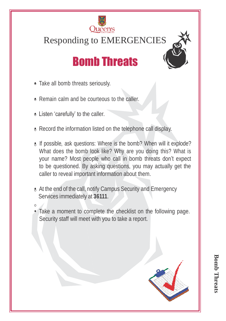



## Bomb Threats

- Take all bomb threats seriously.
- Remain calm and be courteous to the caller.
- Listen 'carefully' to the caller.
- Record the information listed on the telephone call display.
- If possible, ask questions: Where is the bomb? When will it explode? What does the bomb look like? Why are you doing this? What is your name? Most people who call in bomb threats don't expect to be questioned. By asking questions, you may actually get the caller to reveal important information about them.
- At the end of the call, notify Campus Security and Emergency Services immediately at **36111**.
- 
- Take a moment to complete the checklist on the following page. Security staff will meet with you to take a report.

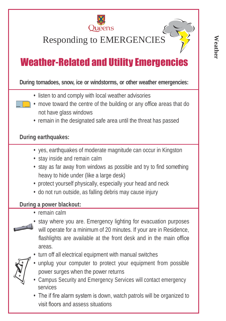

## Weather-Related and Utility Emergencies

### **During tornadoes, snow, ice or windstorms, or other weather emergencies:**

- listen to and comply with local weather advisories
- move toward the centre of the building or any office areas that do not have glass windows
- remain in the designated safe area until the threat has passed

### **During earthquakes:**

- yes, earthquakes of moderate magnitude can occur in Kingston
- stay inside and remain calm
- stay as far away from windows as possible and try to find something heavy to hide under (like a large desk)
- protect yourself physically, especially your head and neck
- do not run outside, as falling debris may cause injury

### **During a power blackout:**

**•** remain calm



- stay where you are. Emergency lighting for evacuation purposes will operate for a minimum of 20 minutes. If your are in Residence, flashlights are available at the front desk and in the main office areas.
- turn off all electrical equipment with manual switches



- unplug your computer to protect your equipment from possible power surges when the power returns
- Campus Security and Emergency Services will contact emergency services
- The if fire alarm system is down, watch patrols will be organized to visit floors and assess situations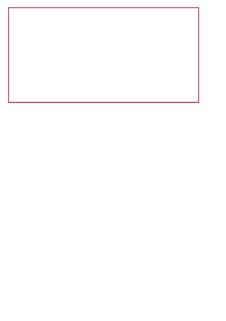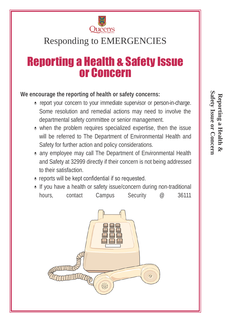

## Reporting a Health & Safety Issue or Concern

### **We encourage the reporting of health or safety concerns:**

- report your concern to your immediate supervisor or person-in-charge. Some resolution and remedial actions may need to involve the departmental safety committee or senior management.
- when the problem requires specialized expertise, then the issue will be referred to The Department of Environmental Health and Safety for further action and policy considerations.
- any employee may call The Department of Environmental Health and Safety at 32999 directly if their concern is not being addressed to their satisfaction.
- reports will be kept confidential if so requested.
- If you have a health or safety issue/concern during non-traditional hours, contact Campus Security @ 36111

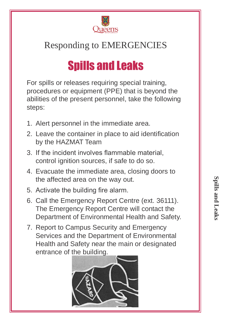

## Spills and Leaks

For spills or releases requiring special training, procedures or equipment (PPE) that is beyond the abilities of the present personnel, take the following steps:

- 1. Alert personnel in the immediate area.
- 2. Leave the container in place to aid identification by the HAZMAT Team
- 3. If the incident involves flammable material, control ignition sources, if safe to do so.
- 4. Evacuate the immediate area, closing doors to the affected area on the way out.
- 5. Activate the building fire alarm.
- 6. Call the Emergency Report Centre (ext. 36111). The Emergency Report Centre will contact the Department of Environmental Health and Safety.
- 7. Report to Campus Security and Emergency Services and the Department of Environmental Health and Safety near the main or designated entrance of the building.

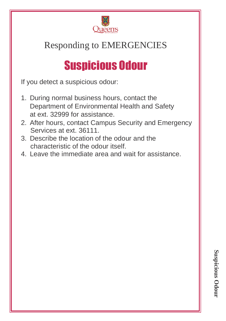

## Suspicious Odour

If you detect a suspicious odour:

- 1. During normal business hours, contact the Department of Environmental Health and Safety at ext. 32999 for assistance.
- 2. After hours, contact Campus Security and Emergency Services at ext. 36111.
- 3. Describe the location of the odour and the characteristic of the odour itself.
- 4. Leave the immediate area and wait for assistance.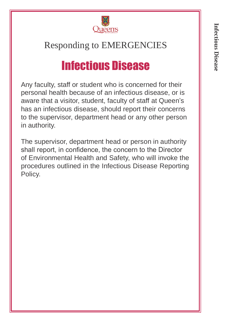

## Infectious Disease

Any faculty, staff or student who is concerned for their personal health because of an infectious disease, or is aware that a visitor, student, faculty of staff at Queen's has an infectious disease, should report their concerns to the supervisor, department head or any other person in authority.

The supervisor, department head or person in authority shall report, in confidence, the concern to the Director of Environmental Health and Safety, who will invoke the procedures outlined in the Infectious Disease Reporting Policy.